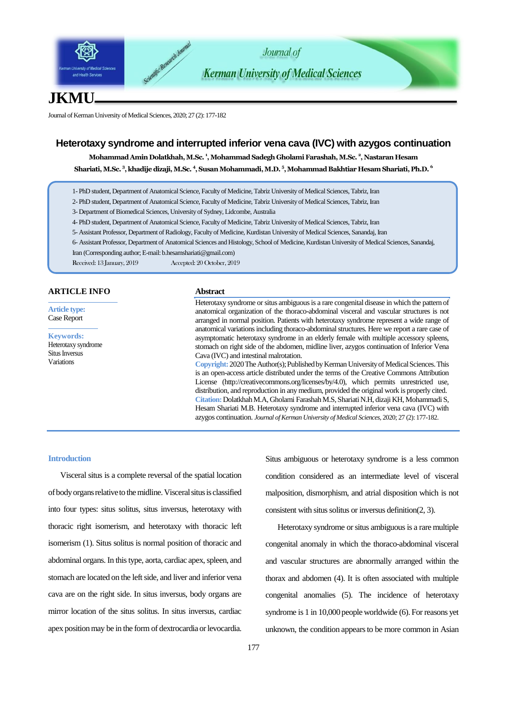

# **JKMU**

Journal of Kerman University of Medical Sciences, 2020; 27 (2): 177-182

### **Heterotaxy syndrome and interrupted inferior vena cava (IVC) with azygos continuation**

**Mohammad Amin Dolatkhah,M.Sc. <sup>1</sup> ,Mohammad Sadegh Gholami Farashah, M.Sc. <sup>2</sup> , Nastaran Hesam Shariati, M.Sc. <sup>3</sup> ,khadije dizaji, M.Sc. <sup>4</sup> ,Susan Mohammadi, M.D. 5 ,Mohammad Bakhtiar Hesam Shariati, Ph.D. 6**

- 1- PhD student, Department of Anatomical Science, Faculty of Medicine, Tabriz University of Medical Sciences, Tabriz, Iran
- 2- PhD student, Department of Anatomical Science, Faculty of Medicine, Tabriz University of Medical Sciences, Tabriz, Iran

3- Department of Biomedical Sciences, University of Sydney, Lidcombe, Australia

- 4- PhD student, Department of Anatomical Science, Faculty of Medicine, Tabriz University of Medical Sciences, Tabriz, Iran
- 5- Assistant Professor, Department of Radiology, Faculty of Medicine, Kurdistan University of Medical Sciences, Sanandaj, Iran
- 6- Assistant Professor, Department of Anatomical Sciences and Histology, School of Medicine, Kurdistan University of Medical Sciences, Sanandaj,

Iran (Corresponding author; E-mail: b.hesamshariati@gmail.com)

Received: 13 January, 2019 Accepted: 20 October, 2019

#### **ARTICLE INFO**

**Article type:** Case Report

#### **Keywords:** Heterotaxy syndrome [Situs Inversus](https://www.ncbi.nlm.nih.gov/mesh/68012857) Variations

#### **Abstract**

Heterotaxy syndrome or situs ambiguous is a rare congenital disease in which the pattern of anatomical organization of the thoraco-abdominal visceral and vascular structures is not arranged in normal position. Patients with heterotaxy syndrome represent a wide range of anatomical variations including thoraco-abdominalstructures. Here we report a rare case of asymptomatic heterotaxy syndrome in an elderly female with multiple accessory spleens, stomach on right side of the abdomen, midline liver, azygos continuation of Inferior Vena Cava (IVC) and intestinal malrotation.

**Copyright:** 2020 The Author(s); Published by Kerman University of Medical Sciences. This is an open-access article distributed under the terms of the Creative Commons Attribution License (http://creativecommons.org/licenses/by/4.0), which permits unrestricted use, distribution, and reproduction in any medium, provided the original work is properly cited. **Citation:**Dolatkhah M.A, Gholami Farashah M.S, ShariatiN.H, dizaji KH, Mohammadi S, Hesam Shariati M.B. Heterotaxy syndrome and interrupted inferior vena cava (IVC) with azygos continuation. *Journal of Kerman University of Medical Sciences*, 2020; 27 (2): 177-182.

#### **Introduction**

Visceral situs is a complete reversal of the spatial location of body organs relative to the midline. Visceral situs is classified into four types: situs solitus, situs inversus, heterotaxy with thoracic right isomerism, and heterotaxy with thoracic left isomerism (1). Situs solitus is normal position of thoracic and abdominal organs. In this type, aorta, cardiac apex, spleen, and stomach are located on the left side, and liver and inferior vena cava are on the right side. In situs inversus, body organs are mirror location of the situs solitus. In situs inversus, cardiac apex position may be in the form of dextrocardia or levocardia. Situs ambiguous or heterotaxy syndrome is a less common condition considered as an intermediate level of visceral malposition, dismorphism, and atrial disposition which is not consistent with situs solitus or inversus definition(2, 3).

Heterotaxy syndrome or situs ambiguous is a rare multiple congenital anomaly in which the thoraco-abdominal visceral and vascular structures are abnormally arranged within the thorax and abdomen (4). It is often associated with multiple congenital anomalies (5). The incidence of heterotaxy syndrome is 1 in 10,000 people worldwide (6). For reasons yet unknown, the condition appears to be more common in Asian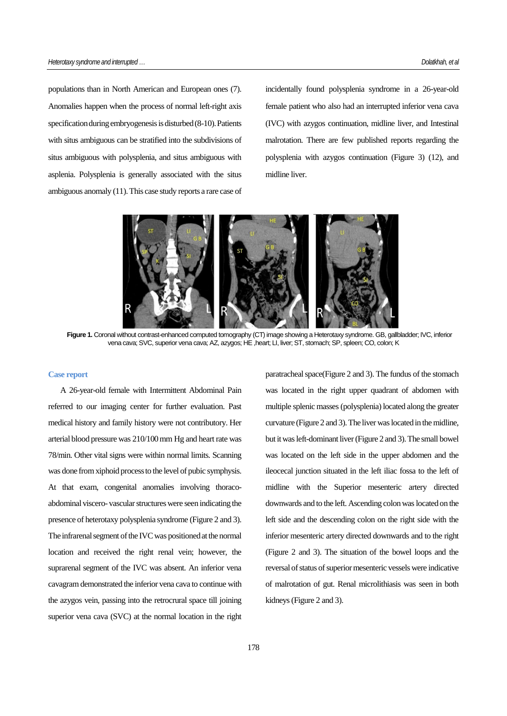populations than in North American and European ones (7). Anomalies happen when the process of normal left-right axis specification during embryogenesis is disturbed (8-10). Patients with situs ambiguous can be stratified into the subdivisions of situs ambiguous with polysplenia, and situs ambiguous with asplenia. Polysplenia is generally associated with the situs ambiguous anomaly (11). This case study reports a rare case of incidentally found polysplenia syndrome in a 26-year-old female patient who also had an interrupted inferior vena cava (IVC) with azygos continuation, midline liver, and Intestinal malrotation. There are few published reports regarding the polysplenia with azygos continuation (Figure 3) (12), and midline liver.



Figure 1. Coronal without contrast-enhanced computed tomography (CT) image showing a Heterotaxy syndrome. GB, gallbladder; IVC, inferior vena cava; SVC, superior vena cava; AZ, azygos; HE ,heart; LI, liver; ST, stomach; SP, spleen; CO, colon; K

#### **Case report**

A 26-year-old female with Intermittent Abdominal Pain referred to our imaging center for further evaluation. Past medical history and family history were not contributory. Her arterial blood pressure was 210/100 mm Hg and heart rate was 78/min. Other vital signs were within normal limits. Scanning was done from xiphoid process to the level of pubic symphysis. At that exam, congenital anomalies involving thoracoabdominal viscero- vascular structures were seen indicating the presence of heterotaxy polysplenia syndrome (Figure 2 and 3). The infrarenal segment of the IVC was positioned at the normal location and received the right renal vein; however, the suprarenal segment of the IVC was absent. An inferior vena cavagram demonstrated the inferior vena cava to continue with the azygos vein, passing into the retrocrural space till joining superior vena cava (SVC) at the normal location in the right

paratracheal space(Figure 2 and 3). The fundus of the stomach was located in the right upper quadrant of abdomen with multiple splenic masses (polysplenia) located along the greater curvature (Figure 2 and 3). The liver was located in the midline, but it was left-dominant liver (Figure 2 and 3). The small bowel was located on the left side in the upper abdomen and the ileocecal junction situated in the left iliac fossa to the left of midline with the Superior mesenteric artery directed downwards and to the left. Ascending colon was located on the left side and the descending colon on the right side with the inferior mesenteric artery directed downwards and to the right (Figure 2 and 3). The situation of the bowel loops and the reversal of status of superior mesenteric vessels were indicative of malrotation of gut. Renal microlithiasis was seen in both kidneys (Figure 2 and 3).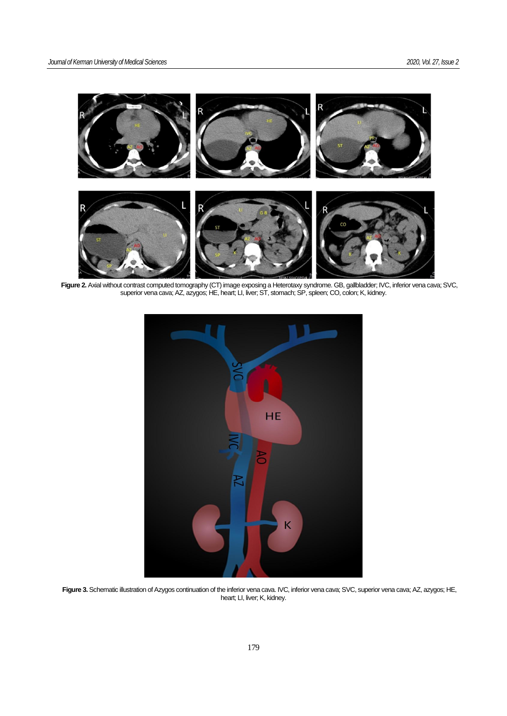

**Figure 2.** Axial without contrast computed tomography (CT) image exposing a Heterotaxy syndrome. GB, gallbladder; IVC, inferior vena cava; SVC, superior vena cava; AZ, azygos; HE, heart; LI, liver; ST, stomach; SP, spleen; CO, colon; K, kidney.



**Figure 3.** Schematic illustration of Azygos continuation of the inferior vena cava. IVC, inferior vena cava; SVC, superior vena cava; AZ, azygos; HE, heart; LI, liver; K, kidney.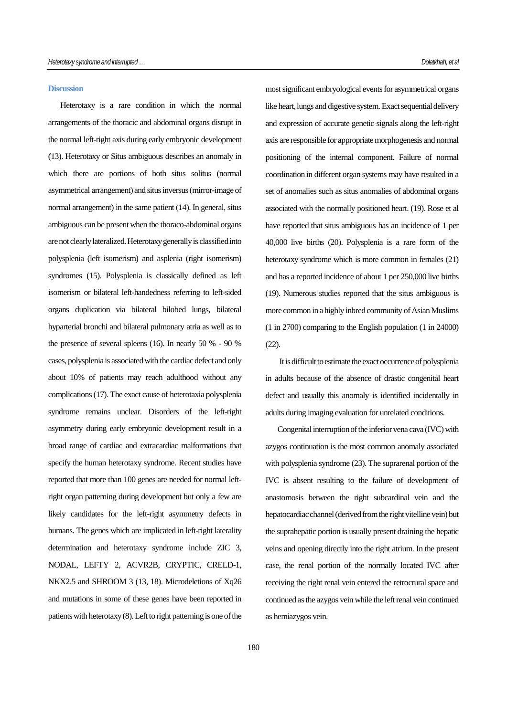#### **Discussion**

Heterotaxy is a rare condition in which the normal arrangements of the thoracic and abdominal organs disrupt in the normal left-right axis during early embryonic development (13). Heterotaxy or Situs ambiguous describes an anomaly in which there are portions of both situs solitus (normal asymmetrical arrangement) and situs inversus (mirror-image of normal arrangement) in the same patient (14). In general, situs ambiguous can be present when the thoraco-abdominal organs are not clearly lateralized. Heterotaxy generally is classified into polysplenia (left isomerism) and asplenia (right isomerism) syndromes (15). Polysplenia is classically defined as left isomerism or bilateral left-handedness referring to left-sided organs duplication via bilateral bilobed lungs, bilateral hyparterial bronchi and bilateral pulmonary atria as well as to the presence of several spleens (16). In nearly 50 % - 90 % cases, polysplenia is associated with the cardiac defect and only about 10% of patients may reach adulthood without any complications (17). The exact cause of heterotaxia polysplenia syndrome remains unclear. Disorders of the left-right asymmetry during early embryonic development result in a broad range of cardiac and extracardiac malformations that specify the human heterotaxy syndrome. Recent studies have reported that more than 100 genes are needed for normal leftright organ patterning during development but only a few are likely candidates for the left-right asymmetry defects in humans. The genes which are implicated in left-right laterality determination and heterotaxy syndrome include ZIC 3, NODAL, LEFTY 2, ACVR2B, CRYPTIC, CRELD-1, NKX2.5 and SHROOM 3 (13, 18). Microdeletions of Xq26 and mutations in some of these genes have been reported in patients with heterotaxy  $(8)$ . Left to right patterning is one of the most significant embryological events for asymmetrical organs like heart, lungs and digestive system. Exact sequential delivery and expression of accurate genetic signals along the left-right axis are responsible for appropriate morphogenesis and normal positioning of the internal component. Failure of normal coordination in different organ systems may have resulted in a set of anomalies such as situs anomalies of abdominal organs associated with the normally positioned heart. (19). Rose et al have reported that situs ambiguous has an incidence of 1 per 40,000 live births (20). Polysplenia is a rare form of the heterotaxy syndrome which is more common in females (21) and has a reported incidence of about 1 per 250,000 live births (19). Numerous studies reported that the situs ambiguous is more common in a highly inbred community of Asian Muslims (1 in 2700) comparing to the English population (1 in 24000) (22).

It is difficult to estimate the exact occurrence of polysplenia in adults because of the absence of drastic congenital heart defect and usually this anomaly is identified incidentally in adults during imaging evaluation for unrelated conditions.

Congenital interruption of the inferior vena cava (IVC) with azygos continuation is the most common anomaly associated with polysplenia syndrome (23). The suprarenal portion of the IVC is absent resulting to the failure of development of anastomosis between the right subcardinal vein and the hepatocardiac channel (derived from the right vitelline vein) but the suprahepatic portion is usually present draining the hepatic veins and opening directly into the right atrium. In the present case, the renal portion of the normally located IVC after receiving the right renal vein entered the retrocrural space and continued as the azygos vein while the left renal vein continued as hemiazygos vein.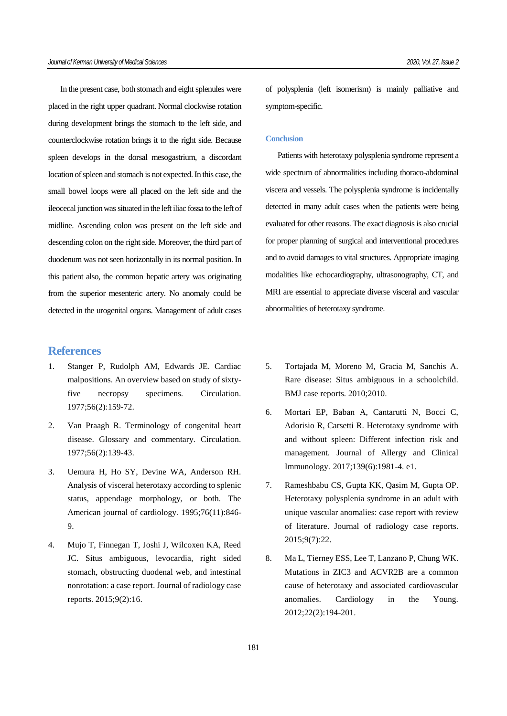In the present case, both stomach and eight splenules were placed in the right upper quadrant. Normal clockwise rotation during development brings the stomach to the left side, and counterclockwise rotation brings it to the right side. Because spleen develops in the dorsal mesogastrium, a discordant location of spleen and stomach is not expected. In this case, the small bowel loops were all placed on the left side and the ileocecal junction was situated in the left iliac fossa to the left of midline. Ascending colon was present on the left side and descending colon on the right side. Moreover, the third part of duodenum was not seen horizontally in its normal position. In this patient also, the common hepatic artery was originating from the superior mesenteric artery. No anomaly could be detected in the urogenital organs. Management of adult cases

## **References**

- 1. Stanger P, Rudolph AM, Edwards JE. Cardiac malpositions. An overview based on study of sixtyfive necropsy specimens. Circulation. 1977;56(2):159-72.
- 2. Van Praagh R. Terminology of congenital heart disease. Glossary and commentary. Circulation. 1977;56(2):139-43.
- 3. Uemura H, Ho SY, Devine WA, Anderson RH. Analysis of visceral heterotaxy according to splenic status, appendage morphology, or both. The American journal of cardiology. 1995;76(11):846- 9.
- 4. Mujo T, Finnegan T, Joshi J, Wilcoxen KA, Reed JC. Situs ambiguous, levocardia, right sided stomach, obstructing duodenal web, and intestinal nonrotation: a case report. Journal of radiology case reports. 2015;9(2):16.

of polysplenia (left isomerism) is mainly palliative and symptom-specific.

#### **Conclusion**

Patients with heterotaxy polysplenia syndrome represent a wide spectrum of abnormalities including thoraco-abdominal viscera and vessels. The polysplenia syndrome is incidentally detected in many adult cases when the patients were being evaluated for other reasons. The exact diagnosis is also crucial for proper planning of surgical and interventional procedures and to avoid damages to vital structures. Appropriate imaging modalities like echocardiography, ultrasonography, CT, and MRI are essential to appreciate diverse visceral and vascular abnormalities of heterotaxy syndrome.

- 5. Tortajada M, Moreno M, Gracia M, Sanchis A. Rare disease: Situs ambiguous in a schoolchild. BMJ case reports. 2010;2010.
- 6. Mortari EP, Baban A, Cantarutti N, Bocci C, Adorisio R, Carsetti R. Heterotaxy syndrome with and without spleen: Different infection risk and management. Journal of Allergy and Clinical Immunology. 2017;139(6):1981-4. e1.
- 7. Rameshbabu CS, Gupta KK, Qasim M, Gupta OP. Heterotaxy polysplenia syndrome in an adult with unique vascular anomalies: case report with review of literature. Journal of radiology case reports. 2015;9(7):22.
- 8. Ma L, Tierney ESS, Lee T, Lanzano P, Chung WK. Mutations in ZIC3 and ACVR2B are a common cause of heterotaxy and associated cardiovascular anomalies. Cardiology in the Young. 2012;22(2):194-201.